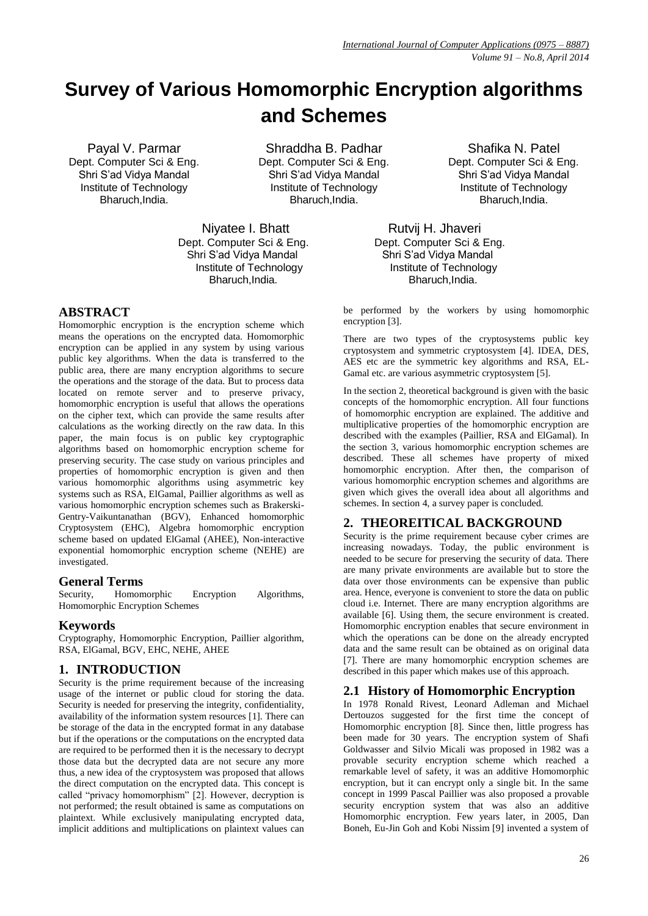# **Survey of Various Homomorphic Encryption algorithms and Schemes**

Payal V. Parmar Dept. Computer Sci & Eng. Shri S'ad Vidya Mandal Institute of Technology Bharuch,India.

Shraddha B. Padhar Dept. Computer Sci & Eng. Shri S'ad Vidya Mandal Institute of Technology [Bharuch,India.](mailto:Email-s10padhar@yahoo.com%0EShafika)

Niyatee I. Bhatt Rutvij H. Jhaveri Dept. Computer Sci & Eng. Dept. Computer Sci & Eng. Shri S'ad Vidya Mandal Shri S'ad Vidya Mandal

## **ABSTRACT**

Homomorphic encryption is the encryption scheme which means the operations on the encrypted data. Homomorphic encryption can be applied in any system by using various public key algorithms. When the data is transferred to the public area, there are many encryption algorithms to secure the operations and the storage of the data. But to process data located on remote server and to preserve privacy, homomorphic encryption is useful that allows the operations on the cipher text, which can provide the same results after calculations as the working directly on the raw data. In this paper, the main focus is on public key cryptographic algorithms based on homomorphic encryption scheme for preserving security. The case study on various principles and properties of homomorphic encryption is given and then various homomorphic algorithms using asymmetric key systems such as RSA, ElGamal, Paillier algorithms as well as various homomorphic encryption schemes such as Brakerski-Gentry-Vaikuntanathan (BGV), Enhanced homomorphic Cryptosystem (EHC), Algebra homomorphic encryption scheme based on updated ElGamal (AHEE), Non-interactive exponential homomorphic encryption scheme (NEHE) are investigated.

#### **General Terms**

Security, Homomorphic Encryption Algorithms, Homomorphic Encryption Schemes

# **Keywords**

Cryptography, Homomorphic Encryption, Paillier algorithm, RSA, ElGamal, BGV, EHC, NEHE, AHEE

# **1. INTRODUCTION**

Security is the prime requirement because of the increasing usage of the internet or public cloud for storing the data. Security is needed for preserving the integrity, confidentiality, availability of the information system resources [1]. There can be storage of the data in the encrypted format in any database but if the operations or the computations on the encrypted data are required to be performed then it is the necessary to decrypt those data but the decrypted data are not secure any more thus, a new idea of the cryptosystem was proposed that allows the direct computation on the encrypted data. This concept is called "privacy homomorphism"  $[2]$ . However, decryption is not performed; the result obtained is same as computations on plaintext. While exclusively manipulating encrypted data, implicit additions and multiplications on plaintext values can

[Shafika](mailto:Email-s10padhar@yahoo.com%0EShafika) N. Patel Dept. Computer Sci & Eng. Shri S'ad Vidya Mandal Institute of Technology Bharuch,India.

 Institute of Technology Institute of Technology Bharuch, India. **Bharuch, India.** 

> be performed by the workers by using homomorphic encryption [3].

> There are two types of the cryptosystems public key cryptosystem and symmetric cryptosystem [4]. IDEA, DES, AES etc are the symmetric key algorithms and RSA, EL-Gamal etc. are various asymmetric cryptosystem [5].

> In the section 2, theoretical background is given with the basic concepts of the homomorphic encryption. All four functions of homomorphic encryption are explained. The additive and multiplicative properties of the homomorphic encryption are described with the examples (Paillier, RSA and ElGamal). In the section 3, various homomorphic encryption schemes are described. These all schemes have property of mixed homomorphic encryption. After then, the comparison of various homomorphic encryption schemes and algorithms are given which gives the overall idea about all algorithms and schemes. In section 4, a survey paper is concluded.

# **2. THEOREITICAL BACKGROUND**

Security is the prime requirement because cyber crimes are increasing nowadays. Today, the public environment is needed to be secure for preserving the security of data. There are many private environments are available but to store the data over those environments can be expensive than public area. Hence, everyone is convenient to store the data on public cloud i.e. Internet. There are many encryption algorithms are available [6]. Using them, the secure environment is created. Homomorphic encryption enables that secure environment in which the operations can be done on the already encrypted data and the same result can be obtained as on original data [7]. There are many homomorphic encryption schemes are described in this paper which makes use of this approach.

#### **2.1 History of Homomorphic Encryption**

In 1978 Ronald Rivest, Leonard Adleman and Michael Dertouzos suggested for the first time the concept of Homomorphic encryption [8]. Since then, little progress has been made for 30 years. The encryption system of Shafi Goldwasser and Silvio Micali was proposed in 1982 was a provable security encryption scheme which reached a remarkable level of safety, it was an additive Homomorphic encryption, but it can encrypt only a single bit. In the same concept in 1999 Pascal Paillier was also proposed a provable security encryption system that was also an additive Homomorphic encryption. Few years later, in 2005, Dan Boneh, Eu-Jin Goh and Kobi Nissim [9] invented a system of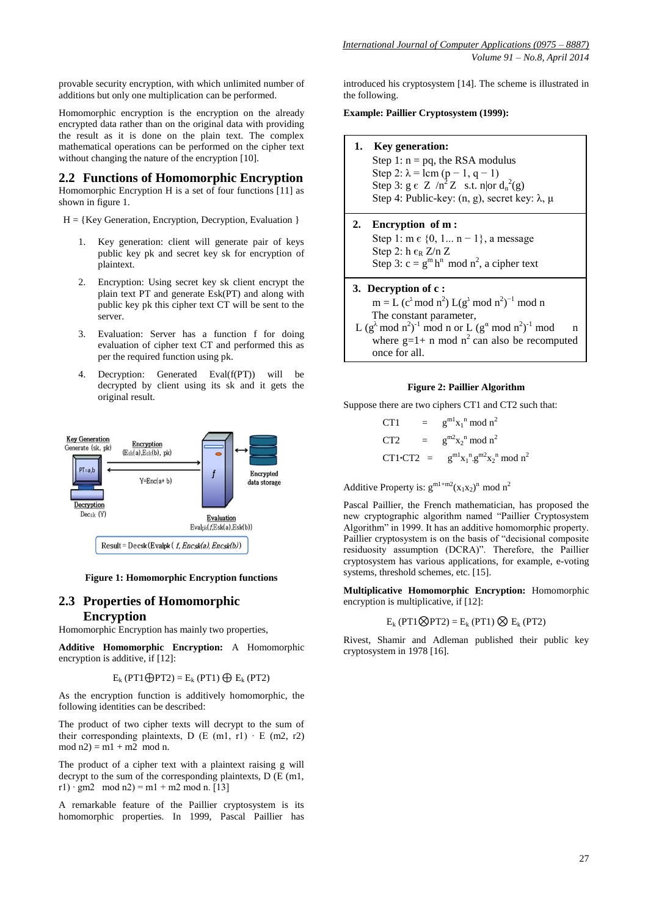provable security encryption, with which unlimited number of additions but only one multiplication can be performed.

Homomorphic encryption is the encryption on the already encrypted data rather than on the original data with providing the result as it is done on the plain text. The complex mathematical operations can be performed on the cipher text without changing the nature of the encryption [10].

#### **2.2 Functions of Homomorphic Encryption**

Homomorphic Encryption H is a set of four functions [11] as shown in figure 1.

 $H = \{Key Generation, Encryption, Decryption, Evaluation\}$ 

- 1. Key generation: client will generate pair of keys public key pk and secret key sk for encryption of plaintext.
- 2. Encryption: Using secret key sk client encrypt the plain text PT and generate Esk(PT) and along with public key pk this cipher text CT will be sent to the server.
- 3. Evaluation: Server has a function f for doing evaluation of cipher text CT and performed this as per the required function using pk.
- 4. Decryption: Generated Eval(f(PT)) will be decrypted by client using its sk and it gets the original result.



**Figure 1: Homomorphic Encryption functions**

### **2.3 Properties of Homomorphic Encryption**

Homomorphic Encryption has mainly two properties,

**Additive Homomorphic Encryption:** A Homomorphic encryption is additive, if [12]:

 $E_k$  (PT1 $\bigoplus$ PT2) =  $E_k$  (PT1)  $\bigoplus E_k$  (PT2)

As the encryption function is additively homomorphic, the following identities can be described:

The product of two cipher texts will decrypt to the sum of their corresponding plaintexts, D (E (m1, r1) ⋅ E (m2, r2)  $mod n2 = m1 + m2 \mod n$ .

The product of a cipher text with a plaintext raising g will decrypt to the sum of the corresponding plaintexts, D (E (m1, r1) ⋅ gm2 mod n2) = m1 + m2 mod n. [13]

A remarkable feature of the Paillier cryptosystem is its homomorphic properties. In 1999, Pascal Paillier has introduced his cryptosystem [14]. The scheme is illustrated in the following.

**Example: Paillier Cryptosystem (1999):**

**1. Key generation:**

Step 1:  $n = pq$ , the RSA modulus Step 2:  $\lambda =$  lcm (p – 1, q – 1) Step 3:  $g \in Z / n^2 Z$  s.t. n|or  $d_n^2(g)$ Step 4: Public-key: (n, g), secret key: λ, μ

**2. Encryption of m :**

Step 1: m ∈ {0, 1... n − 1}, a message Step 2: h  $\epsilon_R$  Z/n Z Step 3:  $c = g^m h^n \mod n^2$ , a cipher text

#### **3. Decryption of c :**

 $m = L (c<sup>3</sup> mod n<sup>2</sup>) L(g<sup>3</sup> mod n<sup>2</sup>)<sup>-1</sup> mod n$  The constant parameter, L  $(g^{\lambda} \mod n^2)^{-1} \mod n$  or L  $(g^{\alpha} \mod n^2)^{-1} \mod n$ where  $g=1+$  n mod  $n^2$  can also be recomputed once for all.

#### **Figure 2: Paillier Algorithm**

Suppose there are two ciphers CT1 and CT2 such that:

CT1 =  $g^{m1}x_1^{\text{n}} \text{ mod } n^2$ CT2 =  $g^{m2}x_2^{n} \text{ mod } n^2$ CT1**•CT2** =  $g^{m1}x_1^{n} \tcdot g^{m2}x_2^{n} \bmod n^2$ 

Additive Property is:  $g^{m1+m2}(x_1x_2)^n \mod n^2$ 

Pascal Paillier, the French mathematician, has proposed the new cryptographic algorithm named "Paillier Cryptosystem" Algorithm" in 1999. It has an additive homomorphic property. Paillier cryptosystem is on the basis of "decisional composite residuosity assumption (DCRA)". Therefore, the Paillier cryptosystem has various applications, for example, e-voting systems, threshold schemes, etc. [15].

**Multiplicative Homomorphic Encryption:** Homomorphic encryption is multiplicative, if [12]:

#### $E_k$  (PT1 $\otimes$ PT2) =  $E_k$  (PT1)  $\otimes E_k$  (PT2)

Rivest, Shamir and Adleman published their public key cryptosystem in 1978 [16].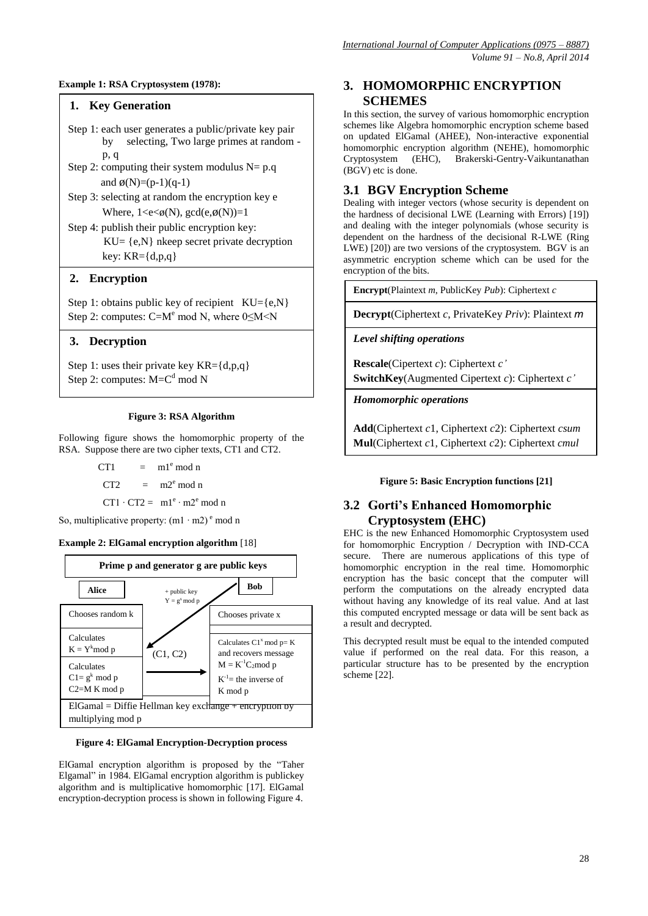#### **Example 1: RSA Cryptosystem (1978):**

#### **1. Key Generation**

- Step 1: each user generates a public/private key pair by selecting, Two large primes at random p, q
- Step 2: computing their system modulus  $N= p.q$ and  $\phi(N)=(p-1)(q-1)$
- Step 3: selecting at random the encryption key e Where,  $1 \leq e \leq \emptyset(N)$ ,  $gcd(e, \emptyset(N)) = 1$
- Step 4: publish their public encryption key:  $KU = \{e, N\}$  nkeep secret private decryption key:  $KR=\{d,p,q\}$

#### **2. Encryption**

Step 1: obtains public key of recipient  $KU = \{e, N\}$ Step 2: computes:  $C=M^e$  mod N, where  $0 \le M \le N$ 

#### **3. Decryption**

Step 1: uses their private key  $KR = \{d,p,q\}$ Step 2: computes:  $M = C<sup>d</sup>$  mod N

#### **Figure 3: RSA Algorithm**

Following figure shows the homomorphic property of the RSA. Suppose there are two cipher texts, CT1 and CT2.

| CT <sub>1</sub> | $=$ m1 <sup>e</sup> mod n                |
|-----------------|------------------------------------------|
|                 | $CT2 = m2^e \mod n$                      |
|                 | $CT1 \cdot CT2 = m1^e \cdot m2^e \mod n$ |

So, multiplicative property:  $(m1 \cdot m2)^e$  mod n

#### **Example 2: ElGamal encryption algorithm** [18]



**Figure 4: ElGamal Encryption-Decryption process** 

ElGamal encryption algorithm is proposed by the "Taher Elgamal" in 1984. ElGamal encryption algorithm is publickey algorithm and is multiplicative homomorphic [17]. ElGamal encryption-decryption process is shown in following Figure 4.

### **3. HOMOMORPHIC ENCRYPTION SCHEMES**

In this section, the survey of various homomorphic encryption schemes like Algebra homomorphic encryption scheme based on updated ElGamal (AHEE), Non-interactive exponential homomorphic encryption algorithm (NEHE), homomorphic Cryptosystem (EHC), Brakerski-Gentry-Vaikuntanathan (BGV) etc is done.

### **3.1 BGV Encryption Scheme**

Dealing with integer vectors (whose security is dependent on the hardness of decisional LWE (Learning with Errors) [19]) and dealing with the integer polynomials (whose security is dependent on the hardness of the decisional R-LWE (Ring LWE) [20]) are two versions of the cryptosystem. BGV is an asymmetric encryption scheme which can be used for the encryption of the bits.

**Encrypt**(Plaintext *m*, PublicKey *Pub*): Ciphertext *c*

**Decrypt**(Ciphertext *c*, PrivateKey *Priv*): Plaintext *m*

*Level shifting operations*

**Rescale**(Cipertext *c*): Ciphertext *c'* **SwitchKey**(Augmented Cipertext *c*): Ciphertext *c'*

*Homomorphic operations*

**Add**(Ciphertext *c*1, Ciphertext *c*2): Ciphertext *csum* **Mul**(Ciphertext *c*1, Ciphertext *c*2): Ciphertext *cmul*

**Figure 5: Basic Encryption functions [21]** 

# **3.2 Gorti's Enhanced Homomorphic Cryptosystem (EHC)**

EHC is the new Enhanced Homomorphic Cryptosystem used for homomorphic Encryption / Decryption with IND-CCA secure. There are numerous applications of this type of homomorphic encryption in the real time. Homomorphic encryption has the basic concept that the computer will perform the computations on the already encrypted data without having any knowledge of its real value. And at last this computed encrypted message or data will be sent back as a result and decrypted.

This decrypted result must be equal to the intended computed value if performed on the real data. For this reason, a particular structure has to be presented by the encryption scheme [22].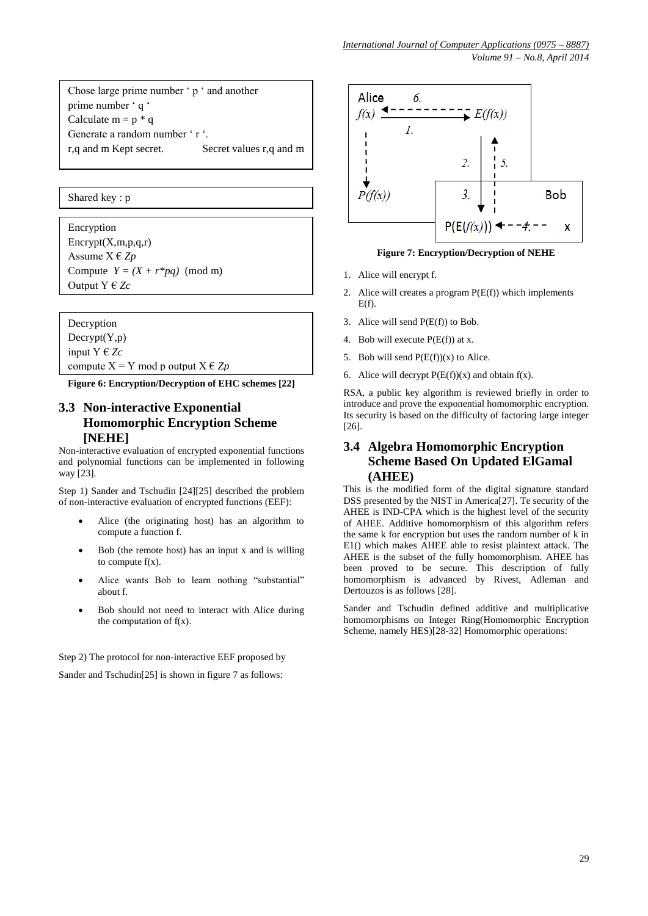Chose large prime number 'p ' and another prime number ' q ' Calculate  $m = p * q$ Generate a random number 'r '. r,q and m Kept secret. Secret values r,q and m

Shared key : p

Encryption  $\text{Energy}(X,m,p,q,r)$ Assume X € *Zp* Compute  $Y = (X + r^*pq) \pmod{m}$ Output Y € *Zc*

Decryption  $Decrypt(Y,p)$ input  $Y \in Z_c$ 

compute  $X = Y$  mod p output  $X \in Z_p$ 

**Figure 6: Encryption/Decryption of EHC schemes [22]**

### **3.3 Non-interactive Exponential Homomorphic Encryption Scheme [NEHE]**

Non-interactive evaluation of encrypted exponential functions and polynomial functions can be implemented in following way [23].

Step 1) Sander and Tschudin [24][25] described the problem of non-interactive evaluation of encrypted functions (EEF):

- Alice (the originating host) has an algorithm to compute a function f.
- Bob (the remote host) has an input x and is willing to compute  $f(x)$ .
- Alice wants Bob to learn nothing "substantial" about f.
- Bob should not need to interact with Alice during the computation of  $f(x)$ .

Step 2) The protocol for non-interactive EEF proposed by

Sander and Tschudin[25] is shown in figure 7 as follows:



**Figure 7: Encryption/Decryption of NEHE** 

- 1. Alice will encrypt f.
- 2. Alice will creates a program  $P(E(f))$  which implements  $E(f)$ .
- 3. Alice will send P(E(f)) to Bob.
- 4. Bob will execute  $P(E(f))$  at x.
- 5. Bob will send  $P(E(f))(x)$  to Alice.
- 6. Alice will decrypt  $P(E(f))(x)$  and obtain  $f(x)$ .

RSA, a public key algorithm is reviewed briefly in order to introduce and prove the exponential homomorphic encryption. Its security is based on the difficulty of factoring large integer [26].

# **3.4 Algebra Homomorphic Encryption Scheme Based On Updated ElGamal (AHEE)**

This is the modified form of the digital signature standard DSS presented by the NIST in America[27]. Te security of the AHEE is IND-CPA which is the highest level of the security of AHEE. Additive homomorphism of this algorithm refers the same k for encryption but uses the random number of k in E1() which makes AHEE able to resist plaintext attack. The AHEE is the subset of the fully homomorphism. AHEE has been proved to be secure. This description of fully homomorphism is advanced by Rivest, Adleman and Dertouzos is as follows [28].

Sander and Tschudin defined additive and multiplicative homomorphisms on Integer Ring(Homomorphic Encryption Scheme, namely HES)[28-32] Homomorphic operations: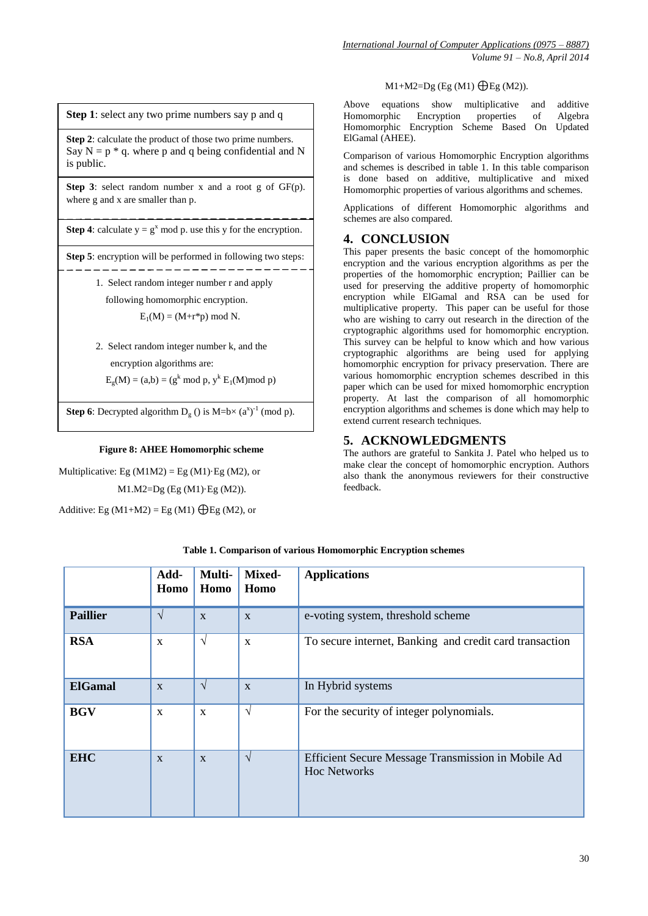M1+M2=Dg (Eg (M1)  $\bigoplus$ Eg (M2)).

Above equations show multiplicative and additive Homomorphic Encryption properties of Algebra Homomorphic Encryption Scheme Based On Updated ElGamal (AHEE).

Comparison of various Homomorphic Encryption algorithms and schemes is described in table 1. In this table comparison is done based on additive, multiplicative and mixed Homomorphic properties of various algorithms and schemes.

Applications of different Homomorphic algorithms and schemes are also compared.

# **4. CONCLUSION**

This paper presents the basic concept of the homomorphic encryption and the various encryption algorithms as per the properties of the homomorphic encryption; Paillier can be used for preserving the additive property of homomorphic encryption while ElGamal and RSA can be used for multiplicative property. This paper can be useful for those who are wishing to carry out research in the direction of the cryptographic algorithms used for homomorphic encryption. This survey can be helpful to know which and how various cryptographic algorithms are being used for applying homomorphic encryption for privacy preservation. There are various homomorphic encryption schemes described in this paper which can be used for mixed homomorphic encryption property. At last the comparison of all homomorphic encryption algorithms and schemes is done which may help to extend current research techniques.

# **5. ACKNOWLEDGMENTS**

The authors are grateful to Sankita J. Patel who helped us to make clear the concept of homomorphic encryption. Authors also thank the anonymous reviewers for their constructive feedback.

**Add-Homo Multi-Homo Mixed-Homo Applications Paillier**  $\sqrt{\frac{x}{x}}$  x  $\sqrt{\frac{x}{y}}$  e-voting system, threshold scheme **RSA** x √ x To secure internet, Banking and credit card transaction **ElGamal**  $\overline{x}$   $\overline{\sqrt{x}}$  In Hybrid systems **BGV** x x √ For the security of integer polynomials. **EHC** x x √ Efficient Secure Message Transmission in Mobile Ad Hoc Networks

**Table 1. Comparison of various Homomorphic Encryption schemes**

30

# **Step 1**: select any two prime numbers say p and q

**Step 2**: calculate the product of those two prime numbers. Say  $N = p * q$ , where p and q being confidential and N is public.

**Step 3**: select random number x and a root g of GF(p). where g and x are smaller than p.

**Step 4**: calculate  $y = g^x \text{ mod } p$ , use this y for the encryption.

**Step 5**: encryption will be performed in following two steps: \_\_\_\_\_\_\_\_\_\_\_\_

> 1. Select random integer number r and apply following homomorphic encryption.

 $E_1(M) = (M+r*p) \text{ mod } N.$ 

2. Select random integer number k, and the encryption algorithms are:

 $E_g(M) = (a,b) = (g^k \mod p, y^k E_1(M) \mod p)$ 

**Step 6**: Decrypted algorithm  $D_g$  () is M=b×  $(a^x)^{-1}$  (mod p).

**Figure 8: AHEE Homomorphic scheme** 

M1.M2=Dg (Eg (M1)·Eg (M2)).

Multiplicative: Eg  $(M1M2) = Eg (M1) \cdot Eg (M2)$ , or

Additive: Eg  $(M1+M2) =$  Eg  $(M1)$   $\bigoplus$  Eg  $(M2)$ , or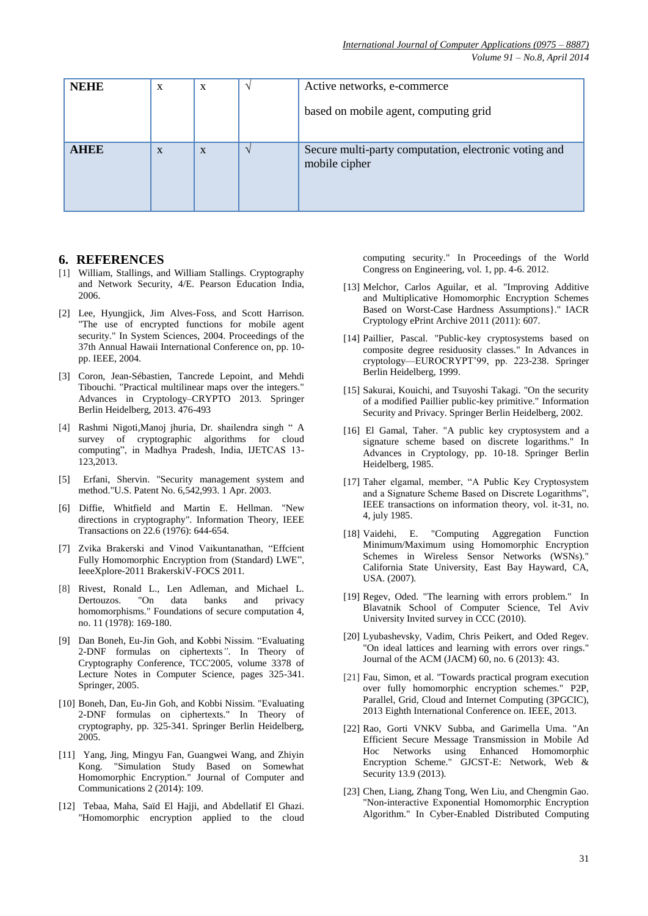*Volume 91 – No.8, April 2014*

| <b>NEHE</b> | X | $\mathbf{X}$ |          | Active networks, e-commerce                                            |  |
|-------------|---|--------------|----------|------------------------------------------------------------------------|--|
|             |   |              |          | based on mobile agent, computing grid                                  |  |
| <b>AHBE</b> | X | $\mathbf{X}$ | $\Delta$ | Secure multi-party computation, electronic voting and<br>mobile cipher |  |

#### **6. REFERENCES**

- [1] William, Stallings, and William Stallings. Cryptography and Network Security, 4/E. Pearson Education India, 2006.
- [2] Lee, Hyungjick, Jim Alves-Foss, and Scott Harrison. "The use of encrypted functions for mobile agent security." In System Sciences, 2004. Proceedings of the 37th Annual Hawaii International Conference on, pp. 10 pp. IEEE, 2004.
- [3] Coron, Jean-Sébastien, Tancrede Lepoint, and Mehdi Tibouchi. "Practical multilinear maps over the integers." Advances in Cryptology–CRYPTO 2013. Springer Berlin Heidelberg, 2013. 476-493
- [4] Rashmi Nigoti, Manoj jhuria, Dr. shailendra singh " A survey of cryptographic algorithms for cloud computing", in Madhya Pradesh, India, IJETCAS 13-123,2013.
- [5] Erfani, Shervin. "Security management system and method."U.S. Patent No. 6,542,993. 1 Apr. 2003.
- [6] Diffie, Whitfield and Martin E. Hellman. "New directions in cryptography". Information Theory, IEEE Transactions on 22.6 (1976): 644-654.
- [7] Zvika Brakerski and Vinod Vaikuntanathan, "Effcient Fully Homomorphic Encryption from (Standard) LWE", IeeeXplore-2011 BrakerskiV-FOCS 2011.
- [8] Rivest, Ronald L., Len Adleman, and Michael L. Dertouzos. "On data banks and privacy homomorphisms." Foundations of secure computation 4, no. 11 (1978): 169-180.
- [9] Dan Boneh, Eu-Jin Goh, and Kobbi Nissim. "Evaluating 2-DNF formulas on ciphertexts*"*. In Theory of Cryptography Conference, TCC'2005, volume 3378 of Lecture Notes in Computer Science, pages 325-341. Springer, 2005.
- [10] Boneh, Dan, Eu-Jin Goh, and Kobbi Nissim. "Evaluating 2-DNF formulas on ciphertexts." In Theory of cryptography, pp. 325-341. Springer Berlin Heidelberg, 2005.
- [11] Yang, Jing, Mingyu Fan, Guangwei Wang, and Zhiyin Kong. "Simulation Study Based on Somewhat Homomorphic Encryption." Journal of Computer and Communications 2 (2014): 109.
- [12] Tebaa, Maha, Saïd El Hajji, and Abdellatif El Ghazi. "Homomorphic encryption applied to the cloud

computing security." In Proceedings of the World Congress on Engineering, vol. 1, pp. 4-6. 2012.

- [13] Melchor, Carlos Aguilar, et al. "Improving Additive and Multiplicative Homomorphic Encryption Schemes Based on Worst-Case Hardness Assumptions}." IACR Cryptology ePrint Archive 2011 (2011): 607.
- [14] Paillier, Pascal. "Public-key cryptosystems based on composite degree residuosity classes." In Advances in cryptology—EUROCRYPT'99, pp. 223-238. Springer Berlin Heidelberg, 1999.
- [15] Sakurai, Kouichi, and Tsuvoshi Takagi. "On the security of a modified Paillier public-key primitive." Information Security and Privacy. Springer Berlin Heidelberg, 2002.
- [16] El Gamal, Taher. "A public key cryptosystem and a signature scheme based on discrete logarithms." In Advances in Cryptology, pp. 10-18. Springer Berlin Heidelberg, 1985.
- [17] Taher elgamal, member, "A Public Key Cryptosystem and a Signature Scheme Based on Discrete Logarithms", IEEE transactions on information theory, vol. it-31, no. 4, july 1985.
- [18] Vaidehi, E. "Computing Aggregation Function Minimum/Maximum using Homomorphic Encryption Schemes in Wireless Sensor Networks (WSNs)." California State University, East Bay Hayward, CA, USA. (2007).
- [19] Regev, Oded. "The learning with errors problem." In Blavatnik School of Computer Science, Tel Aviv University Invited survey in CCC (2010).
- [20] Lyubashevsky, Vadim, Chris Peikert, and Oded Regev. "On ideal lattices and learning with errors over rings." Journal of the ACM (JACM) 60, no. 6 (2013): 43.
- [21] Fau, Simon, et al. "Towards practical program execution over fully homomorphic encryption schemes." P2P, Parallel, Grid, Cloud and Internet Computing (3PGCIC), 2013 Eighth International Conference on. IEEE, 2013.
- [22] Rao, Gorti VNKV Subba, and Garimella Uma. "An Efficient Secure Message Transmission in Mobile Ad Hoc Networks using Enhanced Homomorphic Encryption Scheme." GJCST-E: Network, Web & Security 13.9 (2013).
- [23] Chen, Liang, Zhang Tong, Wen Liu, and Chengmin Gao. "Non-interactive Exponential Homomorphic Encryption Algorithm." In Cyber-Enabled Distributed Computing